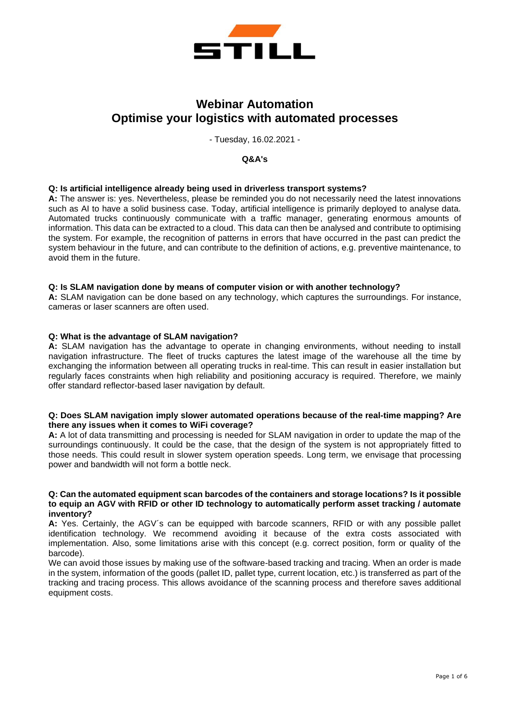

# **Webinar Automation Optimise your logistics with automated processes**

- Tuesday, 16.02.2021 -

#### **Q&A's**

#### **Q: Is artificial intelligence already being used in driverless transport systems?**

**A:** The answer is: yes. Nevertheless, please be reminded you do not necessarily need the latest innovations such as AI to have a solid business case. Today, artificial intelligence is primarily deployed to analyse data. Automated trucks continuously communicate with a traffic manager, generating enormous amounts of information. This data can be extracted to a cloud. This data can then be analysed and contribute to optimising the system. For example, the recognition of patterns in errors that have occurred in the past can predict the system behaviour in the future, and can contribute to the definition of actions, e.g. preventive maintenance, to avoid them in the future.

#### **Q: Is SLAM navigation done by means of computer vision or with another technology?**

**A:** SLAM navigation can be done based on any technology, which captures the surroundings. For instance, cameras or laser scanners are often used.

#### **Q: What is the advantage of SLAM navigation?**

**A:** SLAM navigation has the advantage to operate in changing environments, without needing to install navigation infrastructure. The fleet of trucks captures the latest image of the warehouse all the time by exchanging the information between all operating trucks in real-time. This can result in easier installation but regularly faces constraints when high reliability and positioning accuracy is required. Therefore, we mainly offer standard reflector-based laser navigation by default.

#### **Q: Does SLAM navigation imply slower automated operations because of the real-time mapping? Are there any issues when it comes to WiFi coverage?**

**A:** A lot of data transmitting and processing is needed for SLAM navigation in order to update the map of the surroundings continuously. It could be the case, that the design of the system is not appropriately fitted to those needs. This could result in slower system operation speeds. Long term, we envisage that processing power and bandwidth will not form a bottle neck.

#### **Q: Can the automated equipment scan barcodes of the containers and storage locations? Is it possible to equip an AGV with RFID or other ID technology to automatically perform asset tracking / automate inventory?**

**A:** Yes. Certainly, the AGV´s can be equipped with barcode scanners, RFID or with any possible pallet identification technology. We recommend avoiding it because of the extra costs associated with implementation. Also, some limitations arise with this concept (e.g. correct position, form or quality of the barcode).

We can avoid those issues by making use of the software-based tracking and tracing. When an order is made in the system, information of the goods (pallet ID, pallet type, current location, etc.) is transferred as part of the tracking and tracing process. This allows avoidance of the scanning process and therefore saves additional equipment costs.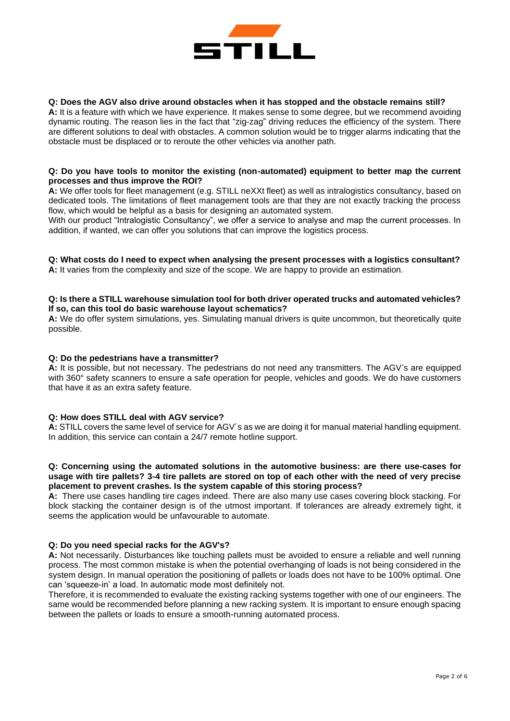

#### **Q: Does the AGV also drive around obstacles when it has stopped and the obstacle remains still?**

**A:** It is a feature with which we have experience. It makes sense to some degree, but we recommend avoiding dynamic routing. The reason lies in the fact that "zig-zag" driving reduces the efficiency of the system. There are different solutions to deal with obstacles. A common solution would be to trigger alarms indicating that the obstacle must be displaced or to reroute the other vehicles via another path.

#### **Q: Do you have tools to monitor the existing (non-automated) equipment to better map the current processes and thus improve the ROI?**

**A:** We offer tools for fleet management (e.g. STILL neXXt fleet) as well as intralogistics consultancy, based on dedicated tools. The limitations of fleet management tools are that they are not exactly tracking the process flow, which would be helpful as a basis for designing an automated system.

With our product "Intralogistic Consultancy", we offer a service to analyse and map the current processes. In addition, if wanted, we can offer you solutions that can improve the logistics process.

## **Q: What costs do I need to expect when analysing the present processes with a logistics consultant?**

**A:** It varies from the complexity and size of the scope. We are happy to provide an estimation.

#### **Q: Is there a STILL warehouse simulation tool for both driver operated trucks and automated vehicles? If so, can this tool do basic warehouse layout schematics?**

**A:** We do offer system simulations, yes. Simulating manual drivers is quite uncommon, but theoretically quite possible.

#### **Q: Do the pedestrians have a transmitter?**

**A:** It is possible, but not necessary. The pedestrians do not need any transmitters. The AGV's are equipped with 360° safety scanners to ensure a safe operation for people, vehicles and goods. We do have customers that have it as an extra safety feature.

# **Q: How does STILL deal with AGV service?**

**A:** STILL covers the same level of service for AGV´s as we are doing it for manual material handling equipment. In addition, this service can contain a 24/7 remote hotline support.

#### **Q: Concerning using the automated solutions in the automotive business: are there use-cases for usage with tire pallets? 3-4 tire pallets are stored on top of each other with the need of very precise placement to prevent crashes. Is the system capable of this storing process?**

**A:** There use cases handling tire cages indeed. There are also many use cases covering block stacking. For block stacking the container design is of the utmost important. If tolerances are already extremely tight, it seems the application would be unfavourable to automate.

#### **Q: Do you need special racks for the AGV's?**

**A:** Not necessarily. Disturbances like touching pallets must be avoided to ensure a reliable and well running process. The most common mistake is when the potential overhanging of loads is not being considered in the system design. In manual operation the positioning of pallets or loads does not have to be 100% optimal. One can 'squeeze-in' a load. In automatic mode most definitely not.

Therefore, it is recommended to evaluate the existing racking systems together with one of our engineers. The same would be recommended before planning a new racking system. It is important to ensure enough spacing between the pallets or loads to ensure a smooth-running automated process.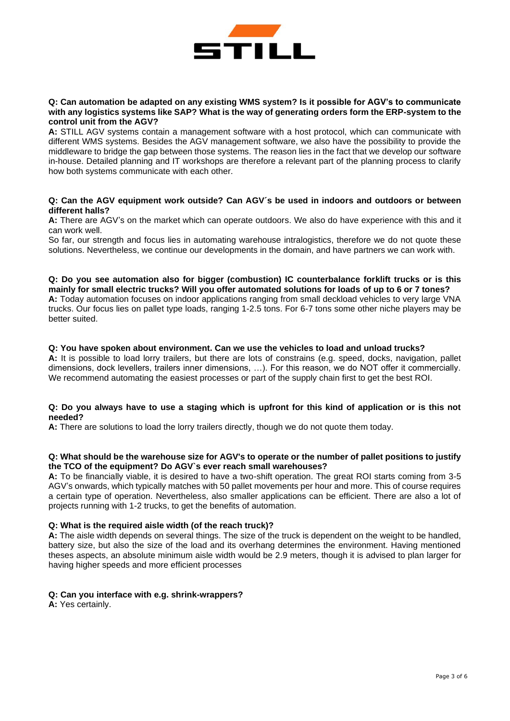

#### **Q: Can automation be adapted on any existing WMS system? Is it possible for AGV's to communicate with any logistics systems like SAP? What is the way of generating orders form the ERP-system to the control unit from the AGV?**

**A:** STILL AGV systems contain a management software with a host protocol, which can communicate with different WMS systems. Besides the AGV management software, we also have the possibility to provide the middleware to bridge the gap between those systems. The reason lies in the fact that we develop our software in-house. Detailed planning and IT workshops are therefore a relevant part of the planning process to clarify how both systems communicate with each other.

#### **Q: Can the AGV equipment work outside? Can AGV´s be used in indoors and outdoors or between different halls?**

**A:** There are AGV's on the market which can operate outdoors. We also do have experience with this and it can work well.

So far, our strength and focus lies in automating warehouse intralogistics, therefore we do not quote these solutions. Nevertheless, we continue our developments in the domain, and have partners we can work with.

**Q: Do you see automation also for bigger (combustion) IC counterbalance forklift trucks or is this mainly for small electric trucks? Will you offer automated solutions for loads of up to 6 or 7 tones? A:** Today automation focuses on indoor applications ranging from small deckload vehicles to very large VNA trucks. Our focus lies on pallet type loads, ranging 1-2.5 tons. For 6-7 tons some other niche players may be better suited.

#### **Q: You have spoken about environment. Can we use the vehicles to load and unload trucks?**

**A:** It is possible to load lorry trailers, but there are lots of constrains (e.g. speed, docks, navigation, pallet dimensions, dock levellers, trailers inner dimensions, …). For this reason, we do NOT offer it commercially. We recommend automating the easiest processes or part of the supply chain first to get the best ROI.

#### **Q: Do you always have to use a staging which is upfront for this kind of application or is this not needed?**

**A:** There are solutions to load the lorry trailers directly, though we do not quote them today.

## **Q: What should be the warehouse size for AGV's to operate or the number of pallet positions to justify the TCO of the equipment? Do AGV`s ever reach small warehouses?**

**A:** To be financially viable, it is desired to have a two-shift operation. The great ROI starts coming from 3-5 AGV's onwards, which typically matches with 50 pallet movements per hour and more. This of course requires a certain type of operation. Nevertheless, also smaller applications can be efficient. There are also a lot of projects running with 1-2 trucks, to get the benefits of automation.

#### **Q: What is the required aisle width (of the reach truck)?**

**A:** The aisle width depends on several things. The size of the truck is dependent on the weight to be handled, battery size, but also the size of the load and its overhang determines the environment. Having mentioned theses aspects, an absolute minimum aisle width would be 2.9 meters, though it is advised to plan larger for having higher speeds and more efficient processes

## **Q: Can you interface with e.g. shrink-wrappers?**

**A:** Yes certainly.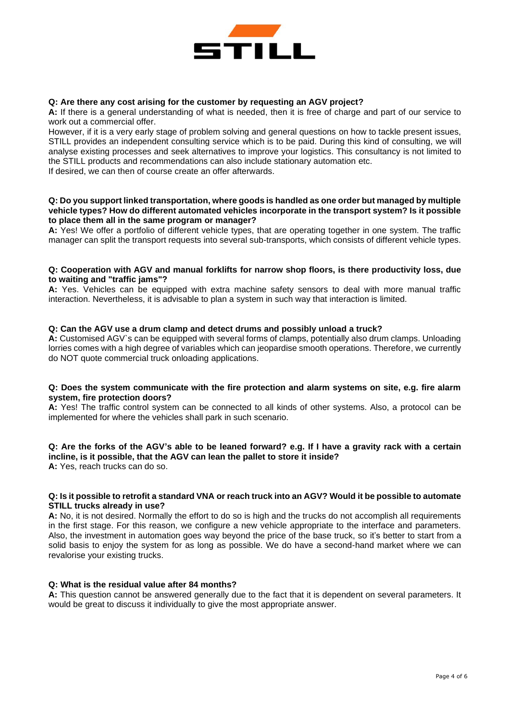

## **Q: Are there any cost arising for the customer by requesting an AGV project?**

**A:** If there is a general understanding of what is needed, then it is free of charge and part of our service to work out a commercial offer.

However, if it is a very early stage of problem solving and general questions on how to tackle present issues, STILL provides an independent consulting service which is to be paid. During this kind of consulting, we will analyse existing processes and seek alternatives to improve your logistics. This consultancy is not limited to the STILL products and recommendations can also include stationary automation etc.

If desired, we can then of course create an offer afterwards.

### **Q: Do you support linked transportation, where goods is handled as one order but managed by multiple vehicle types? How do different automated vehicles incorporate in the transport system? Is it possible to place them all in the same program or manager?**

**A:** Yes! We offer a portfolio of different vehicle types, that are operating together in one system. The traffic manager can split the transport requests into several sub-transports, which consists of different vehicle types.

## **Q: Cooperation with AGV and manual forklifts for narrow shop floors, is there productivity loss, due to waiting and "traffic jams"?**

**A:** Yes. Vehicles can be equipped with extra machine safety sensors to deal with more manual traffic interaction. Nevertheless, it is advisable to plan a system in such way that interaction is limited.

#### **Q: Can the AGV use a drum clamp and detect drums and possibly unload a truck?**

**A:** Customised AGV`s can be equipped with several forms of clamps, potentially also drum clamps. Unloading lorries comes with a high degree of variables which can jeopardise smooth operations. Therefore, we currently do NOT quote commercial truck onloading applications.

## **Q: Does the system communicate with the fire protection and alarm systems on site, e.g. fire alarm system, fire protection doors?**

**A:** Yes! The traffic control system can be connected to all kinds of other systems. Also, a protocol can be implemented for where the vehicles shall park in such scenario.

#### **Q: Are the forks of the AGV's able to be leaned forward? e.g. If I have a gravity rack with a certain incline, is it possible, that the AGV can lean the pallet to store it inside? A:** Yes, reach trucks can do so.

#### **Q: Is it possible to retrofit a standard VNA or reach truck into an AGV? Would it be possible to automate STILL trucks already in use?**

**A:** No, it is not desired. Normally the effort to do so is high and the trucks do not accomplish all requirements in the first stage. For this reason, we configure a new vehicle appropriate to the interface and parameters. Also, the investment in automation goes way beyond the price of the base truck, so it's better to start from a solid basis to enjoy the system for as long as possible. We do have a second-hand market where we can revalorise your existing trucks.

#### **Q: What is the residual value after 84 months?**

**A:** This question cannot be answered generally due to the fact that it is dependent on several parameters. It would be great to discuss it individually to give the most appropriate answer.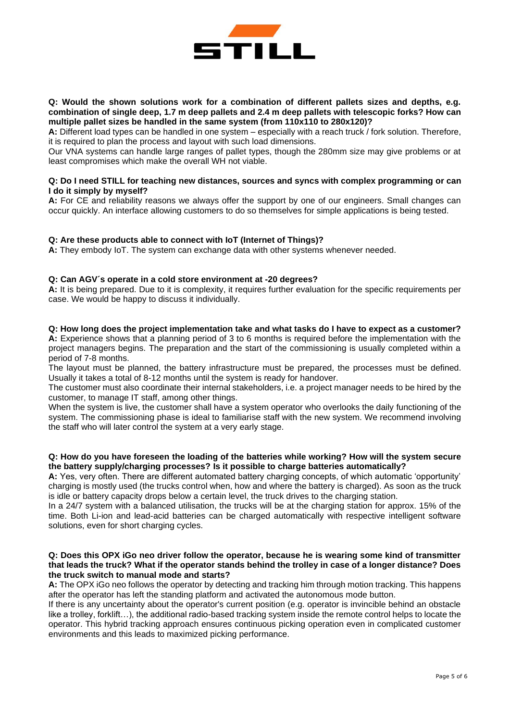

## **Q: Would the shown solutions work for a combination of different pallets sizes and depths, e.g. combination of single deep, 1.7 m deep pallets and 2.4 m deep pallets with telescopic forks? How can multiple pallet sizes be handled in the same system (from 110x110 to 280x120)?**

**A:** Different load types can be handled in one system – especially with a reach truck / fork solution. Therefore, it is required to plan the process and layout with such load dimensions.

Our VNA systems can handle large ranges of pallet types, though the 280mm size may give problems or at least compromises which make the overall WH not viable.

#### **Q: Do I need STILL for teaching new distances, sources and syncs with complex programming or can I do it simply by myself?**

**A:** For CE and reliability reasons we always offer the support by one of our engineers. Small changes can occur quickly. An interface allowing customers to do so themselves for simple applications is being tested.

## **Q: Are these products able to connect with IoT (Internet of Things)?**

**A:** They embody IoT. The system can exchange data with other systems whenever needed.

## **Q: Can AGV´s operate in a cold store environment at -20 degrees?**

**A:** It is being prepared. Due to it is complexity, it requires further evaluation for the specific requirements per case. We would be happy to discuss it individually.

#### **Q: How long does the project implementation take and what tasks do I have to expect as a customer?**

**A:** Experience shows that a planning period of 3 to 6 months is required before the implementation with the project managers begins. The preparation and the start of the commissioning is usually completed within a period of 7-8 months.

The layout must be planned, the battery infrastructure must be prepared, the processes must be defined. Usually it takes a total of 8-12 months until the system is ready for handover.

The customer must also coordinate their internal stakeholders, i.e. a project manager needs to be hired by the customer, to manage IT staff, among other things.

When the system is live, the customer shall have a system operator who overlooks the daily functioning of the system. The commissioning phase is ideal to familiarise staff with the new system. We recommend involving the staff who will later control the system at a very early stage.

## **Q: How do you have foreseen the loading of the batteries while working? How will the system secure the battery supply/charging processes? Is it possible to charge batteries automatically?**

**A:** Yes, very often. There are different automated battery charging concepts, of which automatic 'opportunity' charging is mostly used (the trucks control when, how and where the battery is charged). As soon as the truck is idle or battery capacity drops below a certain level, the truck drives to the charging station.

In a 24/7 system with a balanced utilisation, the trucks will be at the charging station for approx. 15% of the time. Both Li-ion and lead-acid batteries can be charged automatically with respective intelligent software solutions, even for short charging cycles.

## **Q: Does this OPX iGo neo driver follow the operator, because he is wearing some kind of transmitter that leads the truck? What if the operator stands behind the trolley in case of a longer distance? Does the truck switch to manual mode and starts?**

**A:** The OPX iGo neo follows the operator by detecting and tracking him through motion tracking. This happens after the operator has left the standing platform and activated the autonomous mode button.

If there is any uncertainty about the operator's current position (e.g. operator is invincible behind an obstacle like a trolley, forklift…), the additional radio-based tracking system inside the remote control helps to locate the operator. This hybrid tracking approach ensures continuous picking operation even in complicated customer environments and this leads to maximized picking performance.